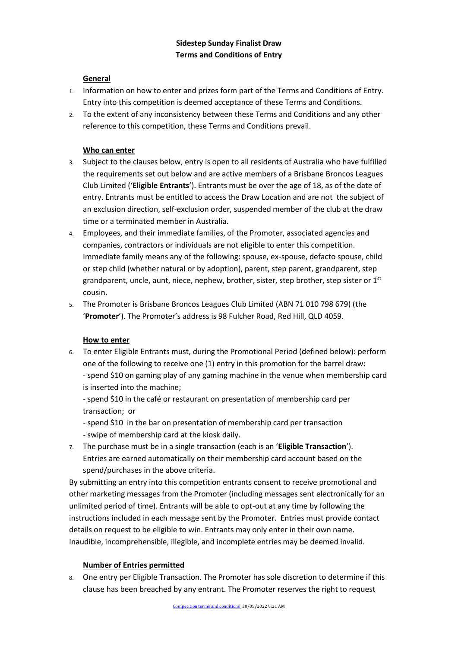# **General**

- 1. Information on how to enter and prizes form part of the Terms and Conditions of Entry. Entry into this competition is deemed acceptance of these Terms and Conditions.
- 2. To the extent of any inconsistency between these Terms and Conditions and any other reference to this competition, these Terms and Conditions prevail.

# **Who can enter**

- 3. Subject to the clauses below, entry is open to all residents of Australia who have fulfilled the requirements set out below and are active members of a Brisbane Broncos Leagues Club Limited ('**Eligible Entrants**'). Entrants must be over the age of 18, as of the date of entry. Entrants must be entitled to access the Draw Location and are not the subject of an exclusion direction, self-exclusion order, suspended member of the club at the draw time or a terminated member in Australia.
- 4. Employees, and their immediate families, of the Promoter, associated agencies and companies, contractors or individuals are not eligible to enter this competition. Immediate family means any of the following: spouse, ex-spouse, defacto spouse, child or step child (whether natural or by adoption), parent, step parent, grandparent, step grandparent, uncle, aunt, niece, nephew, brother, sister, step brother, step sister or  $1<sup>st</sup>$ cousin.
- 5. The Promoter is Brisbane Broncos Leagues Club Limited (ABN 71 010 798 679) (the '**Promoter**'). The Promoter's address is 98 Fulcher Road, Red Hill, QLD 4059.

# **How to enter**

6. To enter Eligible Entrants must, during the Promotional Period (defined below): perform one of the following to receive one (1) entry in this promotion for the barrel draw: - spend \$10 on gaming play of any gaming machine in the venue when membership card is inserted into the machine;

- spend \$10 in the café or restaurant on presentation of membership card per transaction; or

- spend \$10 in the bar on presentation of membership card per transaction
- swipe of membership card at the kiosk daily.
- 7. The purchase must be in a single transaction (each is an '**Eligible Transaction**'). Entries are earned automatically on their membership card account based on the spend/purchases in the above criteria.

By submitting an entry into this competition entrants consent to receive promotional and other marketing messages from the Promoter (including messages sent electronically for an unlimited period of time). Entrants will be able to opt-out at any time by following the instructions included in each message sent by the Promoter. Entries must provide contact details on request to be eligible to win. Entrants may only enter in their own name. Inaudible, incomprehensible, illegible, and incomplete entries may be deemed invalid.

# **Number of Entries permitted**

8. One entry per Eligible Transaction. The Promoter has sole discretion to determine if this clause has been breached by any entrant. The Promoter reserves the right to request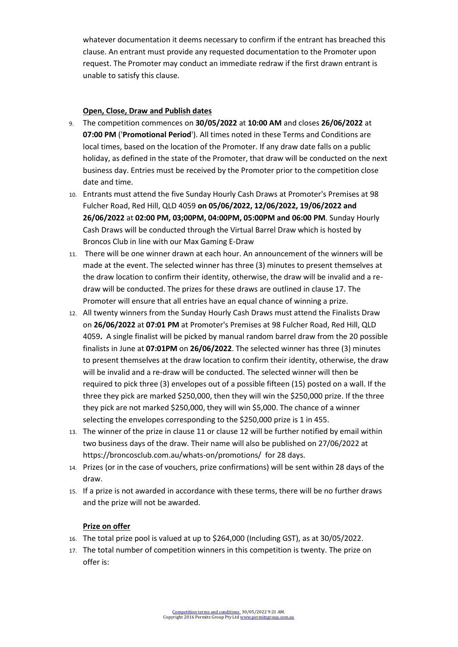whatever documentation it deems necessary to confirm if the entrant has breached this clause. An entrant must provide any requested documentation to the Promoter upon request. The Promoter may conduct an immediate redraw if the first drawn entrant is unable to satisfy this clause.

### **Open, Close, Draw and Publish dates**

- 9. The competition commences on **30/05/2022** at **10:00 AM** and closes **26/06/2022** at **07:00 PM** ('**Promotional Period**'). All times noted in these Terms and Conditions are local times, based on the location of the Promoter. If any draw date falls on a public holiday, as defined in the state of the Promoter, that draw will be conducted on the next business day. Entries must be received by the Promoter prior to the competition close date and time.
- 10. Entrants must attend the five Sunday Hourly Cash Draws at Promoter's Premises at 98 Fulcher Road, Red Hill, QLD 4059 **on 05/06/2022, 12/06/2022, 19/06/2022 and 26/06/2022** at **02:00 PM, 03;00PM, 04:00PM, 05:00PM and 06:00 PM**. Sunday Hourly Cash Draws will be conducted through the Virtual Barrel Draw which is hosted by Broncos Club in line with our Max Gaming E-Draw
- 11. There will be one winner drawn at each hour. An announcement of the winners will be made at the event. The selected winner has three (3) minutes to present themselves at the draw location to confirm their identity, otherwise, the draw will be invalid and a redraw will be conducted. The prizes for these draws are outlined in clause 17. The Promoter will ensure that all entries have an equal chance of winning a prize.
- 12. All twenty winners from the Sunday Hourly Cash Draws must attend the Finalists Draw on **26/06/2022** at **07:01 PM** at Promoter's Premises at 98 Fulcher Road, Red Hill, QLD 4059**.** A single finalist will be picked by manual random barrel draw from the 20 possible finalists in June at **07:01PM** on **26/06/2022**. The selected winner has three (3) minutes to present themselves at the draw location to confirm their identity, otherwise, the draw will be invalid and a re-draw will be conducted. The selected winner will then be required to pick three (3) envelopes out of a possible fifteen (15) posted on a wall. If the three they pick are marked \$250,000, then they will win the \$250,000 prize. If the three they pick are not marked \$250,000, they will win \$5,000. The chance of a winner selecting the envelopes corresponding to the \$250,000 prize is 1 in 455.
- 13. The winner of the prize in clause 11 or clause 12 will be further notified by email within two business days of the draw. Their name will also be published on 27/06/2022 at https://broncosclub.com.au/whats-on/promotions/ for 28 days.
- 14. Prizes (or in the case of vouchers, prize confirmations) will be sent within 28 days of the draw.
- 15. If a prize is not awarded in accordance with these terms, there will be no further draws and the prize will not be awarded.

#### **Prize on offer**

- 16. The total prize pool is valued at up to \$264,000 (Including GST), as at 30/05/2022.
- 17. The total number of competition winners in this competition is twenty. The prize on offer is: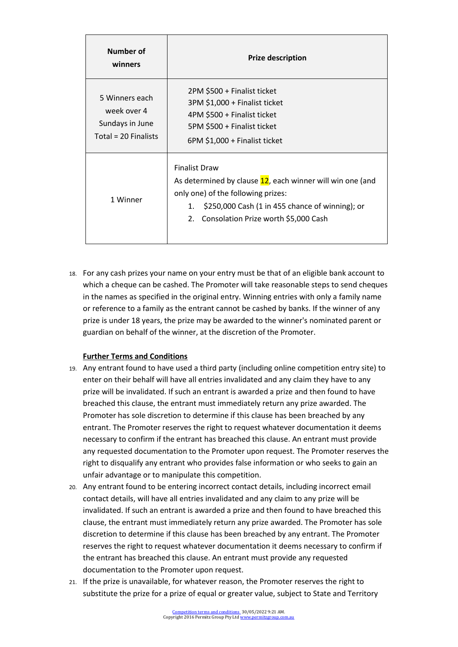| Number of<br>winners                                                     | <b>Prize description</b>                                                                                                                                                                                                    |
|--------------------------------------------------------------------------|-----------------------------------------------------------------------------------------------------------------------------------------------------------------------------------------------------------------------------|
| 5 Winners each<br>week over 4<br>Sundays in June<br>Total = 20 Finalists | 2PM \$500 + Finalist ticket<br>3PM \$1,000 + Finalist ticket<br>4PM \$500 + Finalist ticket<br>5PM \$500 + Finalist ticket<br>6PM \$1,000 + Finalist ticket                                                                 |
| 1 Winner                                                                 | <b>Finalist Draw</b><br>As determined by clause 12, each winner will win one (and<br>only one) of the following prizes:<br>\$250,000 Cash (1 in 455 chance of winning); or<br>1.<br>2. Consolation Prize worth \$5,000 Cash |

18. For any cash prizes your name on your entry must be that of an eligible bank account to which a cheque can be cashed. The Promoter will take reasonable steps to send cheques in the names as specified in the original entry. Winning entries with only a family name or reference to a family as the entrant cannot be cashed by banks. If the winner of any prize is under 18 years, the prize may be awarded to the winner's nominated parent or guardian on behalf of the winner, at the discretion of the Promoter.

# **Further Terms and Conditions**

- 19. Any entrant found to have used a third party (including online competition entry site) to enter on their behalf will have all entries invalidated and any claim they have to any prize will be invalidated. If such an entrant is awarded a prize and then found to have breached this clause, the entrant must immediately return any prize awarded. The Promoter has sole discretion to determine if this clause has been breached by any entrant. The Promoter reserves the right to request whatever documentation it deems necessary to confirm if the entrant has breached this clause. An entrant must provide any requested documentation to the Promoter upon request. The Promoter reserves the right to disqualify any entrant who provides false information or who seeks to gain an unfair advantage or to manipulate this competition.
- 20. Any entrant found to be entering incorrect contact details, including incorrect email contact details, will have all entries invalidated and any claim to any prize will be invalidated. If such an entrant is awarded a prize and then found to have breached this clause, the entrant must immediately return any prize awarded. The Promoter has sole discretion to determine if this clause has been breached by any entrant. The Promoter reserves the right to request whatever documentation it deems necessary to confirm if the entrant has breached this clause. An entrant must provide any requested documentation to the Promoter upon request.
- 21. If the prize is unavailable, for whatever reason, the Promoter reserves the right to substitute the prize for a prize of equal or greater value, subject to State and Territory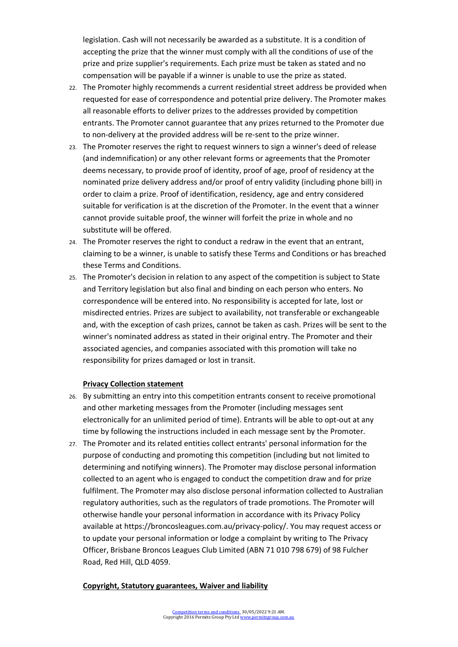legislation. Cash will not necessarily be awarded as a substitute. It is a condition of accepting the prize that the winner must comply with all the conditions of use of the prize and prize supplier's requirements. Each prize must be taken as stated and no compensation will be payable if a winner is unable to use the prize as stated.

- 22. The Promoter highly recommends a current residential street address be provided when requested for ease of correspondence and potential prize delivery. The Promoter makes all reasonable efforts to deliver prizes to the addresses provided by competition entrants. The Promoter cannot guarantee that any prizes returned to the Promoter due to non-delivery at the provided address will be re-sent to the prize winner.
- 23. The Promoter reserves the right to request winners to sign a winner's deed of release (and indemnification) or any other relevant forms or agreements that the Promoter deems necessary, to provide proof of identity, proof of age, proof of residency at the nominated prize delivery address and/or proof of entry validity (including phone bill) in order to claim a prize. Proof of identification, residency, age and entry considered suitable for verification is at the discretion of the Promoter. In the event that a winner cannot provide suitable proof, the winner will forfeit the prize in whole and no substitute will be offered.
- 24. The Promoter reserves the right to conduct a redraw in the event that an entrant, claiming to be a winner, is unable to satisfy these Terms and Conditions or has breached these Terms and Conditions.
- 25. The Promoter's decision in relation to any aspect of the competition is subject to State and Territory legislation but also final and binding on each person who enters. No correspondence will be entered into. No responsibility is accepted for late, lost or misdirected entries. Prizes are subject to availability, not transferable or exchangeable and, with the exception of cash prizes, cannot be taken as cash. Prizes will be sent to the winner's nominated address as stated in their original entry. The Promoter and their associated agencies, and companies associated with this promotion will take no responsibility for prizes damaged or lost in transit.

### **Privacy Collection statement**

- 26. By submitting an entry into this competition entrants consent to receive promotional and other marketing messages from the Promoter (including messages sent electronically for an unlimited period of time). Entrants will be able to opt-out at any time by following the instructions included in each message sent by the Promoter.
- 27. The Promoter and its related entities collect entrants' personal information for the purpose of conducting and promoting this competition (including but not limited to determining and notifying winners). The Promoter may disclose personal information collected to an agent who is engaged to conduct the competition draw and for prize fulfilment. The Promoter may also disclose personal information collected to Australian regulatory authorities, such as the regulators of trade promotions. The Promoter will otherwise handle your personal information in accordance with its Privacy Policy available at https://broncosleagues.com.au/privacy-policy/. You may request access or to update your personal information or lodge a complaint by writing to The Privacy Officer, Brisbane Broncos Leagues Club Limited (ABN 71 010 798 679) of 98 Fulcher Road, Red Hill, QLD 4059.

### **Copyright, Statutory guarantees, Waiver and liability**